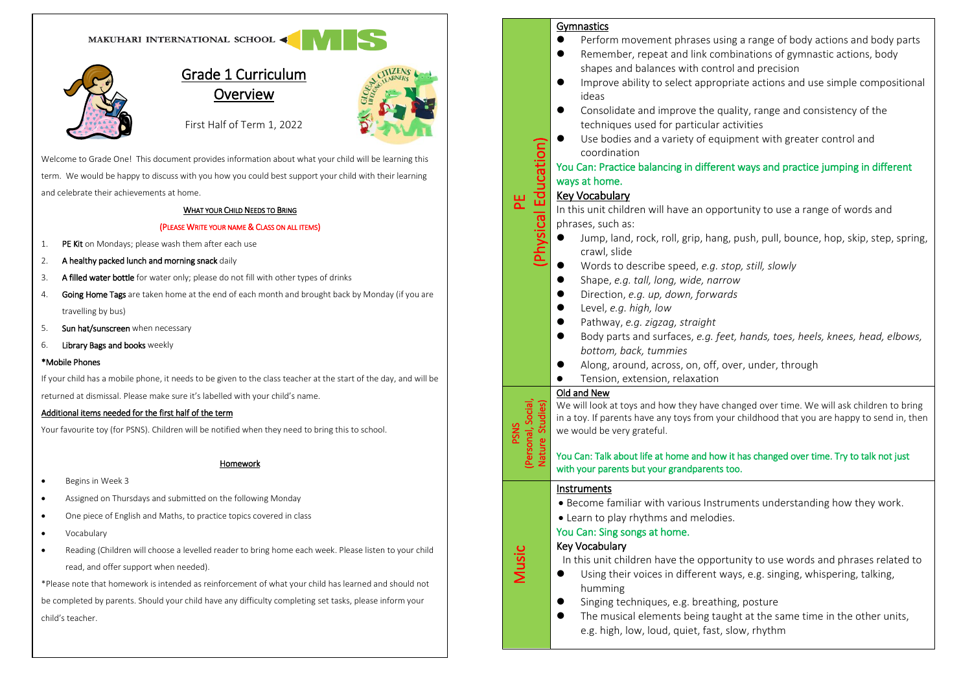



# Grade 1 Curriculum **Overview**



First Half of Term 1, 2022

Welcome to Grade One! This document provides information about what your child will be learning this term. We would be happy to discuss with you how you could best support your child with their learning and celebrate their achievements at home.

#### WHAT YOUR CHILD NEEDS TO BRING

#### (PLEASE WRITE YOUR NAME & CLASS ON ALL ITEMS)

- 1. PE Kit on Mondays; please wash them after each use
- 2. A healthy packed lunch and morning snack daily
- 3. A filled water bottle for water only; please do not fill with other types of drinks
- 4. Going Home Tags are taken home at the end of each month and brought back by Monday (if you are travelling by bus)
- 5. Sun hat/sunscreen when necessary
- 6. Library Bags and books weekly

#### \*Mobile Phones

If your child has a mobile phone, it needs to be given to the class teacher at the start of the day, and will be returned at dismissal. Please make sure it's labelled with your child's name.

#### Additional items needed for the first half of the term

Your favourite toy (for PSNS). Children will be notified when they need to bring this to school.

#### Homework

- Begins in Week 3
- Assigned on Thursdays and submitted on the following Monday
- One piece of English and Maths, to practice topics covered in class
- Vocabulary
- Reading (Children will choose a levelled reader to bring home each week. Please listen to your child read, and offer support when needed).

\*Please note that homework is intended as reinforcement of what your child has learned and should not be completed by parents. Should your child have any difficulty completing set tasks, please inform your child's teacher.

# Gymnastics

- Perform movement phrases using a range of body actions and body parts
- Remember, repeat and link combinations of gymnastic actions, body shapes and balances with control and precision
- ⚫ Improve ability to select appropriate actions and use simple compositional ideas
- Consolidate and improve the quality, range and consistency of the techniques used for particular activities
- ⚫ Use bodies and a variety of equipment with greater control and coordination

# You Can: Practice balancing in different ways and practice jumping in different ways at home.

# PE<br>Physical Education) Key Vocabulary

In this unit children will have an opportunity to use a range of words and phrases, such as:

- Jump, land, rock, roll, grip, hang, push, pull, bounce, hop, skip, step, spring, crawl, slide
- ⚫ Words to describe speed, *e.g. stop, still, slowly*
- ⚫ Shape, *e.g. tall, long, wide, narrow*
- ⚫ Direction, *e.g. up, down, forwards*
- ⚫ Level, *e.g. high, low*
- ⚫ Pathway, *e.g. zigzag, straight*
- ⚫ Body parts and surfaces, *e.g. feet, hands, toes, heels, knees, head, elbows, bottom, back, tummies*
- Along, around, across, on, off, over, under, through
- ⚫ Tension, extension, relaxation

# Old and New

 we would be very grateful. We will look at toys and how they have changed over time. We will ask children to bring in a toy. If parents have any toys from your childhood that you are happy to send in, then

# You Can: Talk about life at home and how it has changed over time. Try to talk not just with your parents but your grandparents too.

#### Instruments

PSNS<br>(Personal, Social,<br>Nature Studies)

Music

- Become familiar with various Instruments understanding how they work.
- Learn to play rhythms and melodies.

# You Can: Sing songs at home.

# Key Vocabulary

In this unit children have the opportunity to use words and phrases related to

- Using their voices in different ways, e.g. singing, whispering, talking, humming
- Singing techniques, e.g. breathing, posture
- The musical elements being taught at the same time in the other units, e.g. high, low, loud, quiet, fast, slow, rhythm